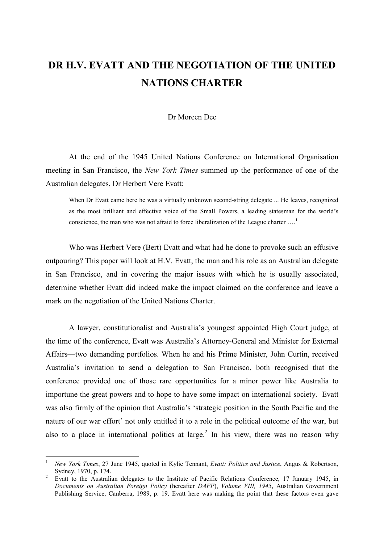## DR H.V. EVATT AND THE NEGOTIATION OF THE UNITED NATIONS CHARTER

Dr Moreen Dee

At the end of the 1945 United Nations Conference on International Organisation meeting in San Francisco, the New York Times summed up the performance of one of the Australian delegates, Dr Herbert Vere Evatt:

When Dr Evatt came here he was a virtually unknown second-string delegate ... He leaves, recognized as the most brilliant and effective voice of the Small Powers, a leading statesman for the world's conscience, the man who was not afraid to force liberalization of the League charter ....<sup>1</sup>

Who was Herbert Vere (Bert) Evatt and what had he done to provoke such an effusive outpouring? This paper will look at H.V. Evatt, the man and his role as an Australian delegate in San Francisco, and in covering the major issues with which he is usually associated, determine whether Evatt did indeed make the impact claimed on the conference and leave a mark on the negotiation of the United Nations Charter.

A lawyer, constitutionalist and Australia's youngest appointed High Court judge, at the time of the conference, Evatt was Australia's Attorney-General and Minister for External Affairs—two demanding portfolios. When he and his Prime Minister, John Curtin, received Australia's invitation to send a delegation to San Francisco, both recognised that the conference provided one of those rare opportunities for a minor power like Australia to importune the great powers and to hope to have some impact on international society. Evatt was also firmly of the opinion that Australia's 'strategic position in the South Pacific and the nature of our war effort' not only entitled it to a role in the political outcome of the war, but also to a place in international politics at large.<sup>2</sup> In his view, there was no reason why

<sup>1</sup> New York Times, 27 June 1945, quoted in Kylie Tennant, Evatt: Politics and Justice, Angus & Robertson, Sydney, 1970, p. 174.

<sup>2</sup> Evatt to the Australian delegates to the Institute of Pacific Relations Conference, 17 January 1945, in Documents on Australian Foreign Policy (hereafter DAFP), Volume VIII, 1945, Australian Government Publishing Service, Canberra, 1989, p. 19. Evatt here was making the point that these factors even gave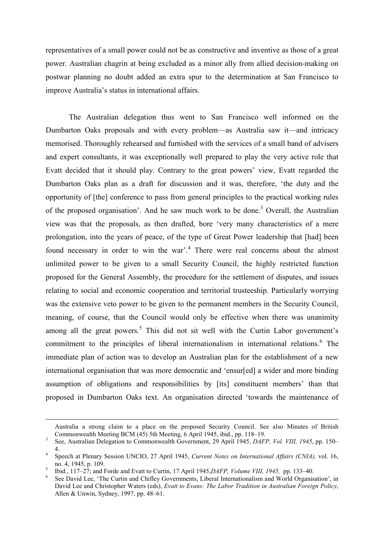representatives of a small power could not be as constructive and inventive as those of a great power. Australian chagrin at being excluded as a minor ally from allied decision-making on postwar planning no doubt added an extra spur to the determination at San Francisco to improve Australia's status in international affairs.

The Australian delegation thus went to San Francisco well informed on the Dumbarton Oaks proposals and with every problem—as Australia saw it—and intricacy memorised. Thoroughly rehearsed and furnished with the services of a small band of advisers and expert consultants, it was exceptionally well prepared to play the very active role that Evatt decided that it should play. Contrary to the great powers' view, Evatt regarded the Dumbarton Oaks plan as a draft for discussion and it was, therefore, 'the duty and the opportunity of [the] conference to pass from general principles to the practical working rules of the proposed organisation'. And he saw much work to be done.<sup>3</sup> Overall, the Australian view was that the proposals, as then drafted, bore 'very many characteristics of a mere prolongation, into the years of peace, of the type of Great Power leadership that [had] been found necessary in order to win the war'.<sup>4</sup> There were real concerns about the almost unlimited power to be given to a small Security Council, the highly restricted function proposed for the General Assembly, the procedure for the settlement of disputes, and issues relating to social and economic cooperation and territorial trusteeship. Particularly worrying was the extensive veto power to be given to the permanent members in the Security Council, meaning, of course, that the Council would only be effective when there was unanimity among all the great powers.<sup>5</sup> This did not sit well with the Curtin Labor government's commitment to the principles of liberal internationalism in international relations.<sup>6</sup> The immediate plan of action was to develop an Australian plan for the establishment of a new international organisation that was more democratic and 'ensur[ed] a wider and more binding assumption of obligations and responsibilities by [its] constituent members' than that proposed in Dumbarton Oaks text. An organisation directed 'towards the maintenance of

-

Australia a strong claim to a place on the proposed Security Council. See also Minutes of British Commonwealth Meeting BCM (45) 5th Meeting, 6 April 1945, ibid., pp. 118–19.

<sup>3</sup> See, Australian Delegation to Commonwealth Government, 29 April 1945, DAFP, Vol. VIII, 1945, pp. 150– 4. 4

Speech at Plenary Session UNCIO, 27 April 1945, Current Notes on International Affairs (CNIA), vol. 16, no. 4, 1945, p. 109.

<sup>5</sup> Ibid., 117–27; and Forde and Evatt to Curtin, 17 April 1945,DAFP, Volume VIII, 1945, pp. 133–40.

<sup>6</sup> See David Lee, 'The Curtin and Chifley Governments, Liberal Internationalism and World Organisation', in David Lee and Christopher Waters (eds), Evatt to Evans: The Labor Tradition in Australian Foreign Policy, Allen & Unwin, Sydney, 1997, pp. 48–61.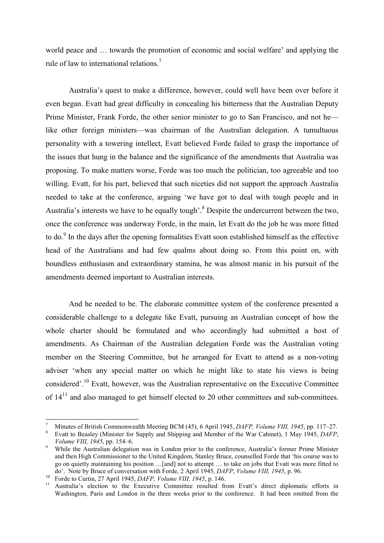world peace and … towards the promotion of economic and social welfare' and applying the rule of law to international relations.<sup>7</sup>

Australia's quest to make a difference, however, could well have been over before it even began. Evatt had great difficulty in concealing his bitterness that the Australian Deputy Prime Minister, Frank Forde, the other senior minister to go to San Francisco, and not he like other foreign ministers—was chairman of the Australian delegation. A tumultuous personality with a towering intellect, Evatt believed Forde failed to grasp the importance of the issues that hung in the balance and the significance of the amendments that Australia was proposing. To make matters worse, Forde was too much the politician, too agreeable and too willing. Evatt, for his part, believed that such niceties did not support the approach Australia needed to take at the conference, arguing 'we have got to deal with tough people and in Australia's interests we have to be equally tough'.<sup>8</sup> Despite the undercurrent between the two, once the conference was underway Forde, in the main, let Evatt do the job he was more fitted to do.<sup>9</sup> In the days after the opening formalities Evatt soon established himself as the effective head of the Australians and had few qualms about doing so. From this point on, with boundless enthusiasm and extraordinary stamina, he was almost manic in his pursuit of the amendments deemed important to Australian interests.

And he needed to be. The elaborate committee system of the conference presented a considerable challenge to a delegate like Evatt, pursuing an Australian concept of how the whole charter should be formulated and who accordingly had submitted a host of amendments. As Chairman of the Australian delegation Forde was the Australian voting member on the Steering Committee, but he arranged for Evatt to attend as a non-voting adviser 'when any special matter on which he might like to state his views is being considered'.<sup>10</sup> Evatt, however, was the Australian representative on the Executive Committee of  $14<sup>11</sup>$  and also managed to get himself elected to 20 other committees and sub-committees.

<sup>7</sup> Minutes of British Commonwealth Meeting BCM (45), 6 April 1945, DAFP, Volume VIII, 1945, pp. 117–27.

<sup>8</sup> Evatt to Beasley (Minister for Supply and Shipping and Member of the War Cabinet), 1 May 1945, DAFP, Volume VIII, 1945, pp. 154–6.

<sup>9</sup> While the Australian delegation was in London prior to the conference, Australia's former Prime Minister and then High Commissioner to the United Kingdom, Stanley Bruce, counselled Forde that 'his course was to go on quietly maintaining his position …[and] not to attempt … to take on jobs that Evatt was more fitted to do'. Note by Bruce of conversation with Forde, 2 April 1945, DAFP, Volume VIII, 1945, p. 96.

<sup>10</sup> Forde to Curtin, 27 April 1945, *DAFP*, *Volume VIII*, 1945, p. 146.<br><sup>11</sup> Australia's election to the Executive Committee resulted fra

<sup>11</sup> Australia's election to the Executive Committee resulted from Evatt's direct diplomatic efforts in Washington, Paris and London in the three weeks prior to the conference. It had been omitted from the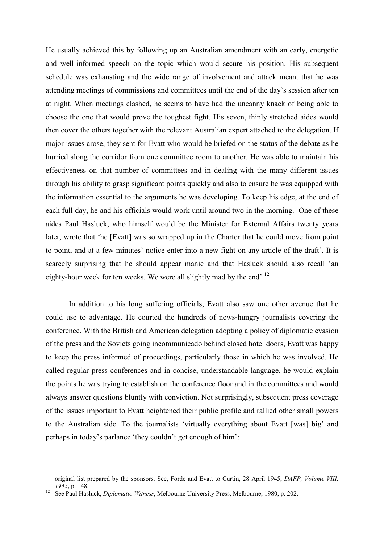He usually achieved this by following up an Australian amendment with an early, energetic and well-informed speech on the topic which would secure his position. His subsequent schedule was exhausting and the wide range of involvement and attack meant that he was attending meetings of commissions and committees until the end of the day's session after ten at night. When meetings clashed, he seems to have had the uncanny knack of being able to choose the one that would prove the toughest fight. His seven, thinly stretched aides would then cover the others together with the relevant Australian expert attached to the delegation. If major issues arose, they sent for Evatt who would be briefed on the status of the debate as he hurried along the corridor from one committee room to another. He was able to maintain his effectiveness on that number of committees and in dealing with the many different issues through his ability to grasp significant points quickly and also to ensure he was equipped with the information essential to the arguments he was developing. To keep his edge, at the end of each full day, he and his officials would work until around two in the morning. One of these aides Paul Hasluck, who himself would be the Minister for External Affairs twenty years later, wrote that 'he [Evatt] was so wrapped up in the Charter that he could move from point to point, and at a few minutes' notice enter into a new fight on any article of the draft'. It is scarcely surprising that he should appear manic and that Hasluck should also recall 'an eighty-hour week for ten weeks. We were all slightly mad by the end'.<sup>12</sup>

In addition to his long suffering officials, Evatt also saw one other avenue that he could use to advantage. He courted the hundreds of news-hungry journalists covering the conference. With the British and American delegation adopting a policy of diplomatic evasion of the press and the Soviets going incommunicado behind closed hotel doors, Evatt was happy to keep the press informed of proceedings, particularly those in which he was involved. He called regular press conferences and in concise, understandable language, he would explain the points he was trying to establish on the conference floor and in the committees and would always answer questions bluntly with conviction. Not surprisingly, subsequent press coverage of the issues important to Evatt heightened their public profile and rallied other small powers to the Australian side. To the journalists 'virtually everything about Evatt [was] big' and perhaps in today's parlance 'they couldn't get enough of him':

-

original list prepared by the sponsors. See, Forde and Evatt to Curtin, 28 April 1945, DAFP, Volume VIII, 1945, p. 148.

<sup>&</sup>lt;sup>12</sup> See Paul Hasluck, *Diplomatic Witness*, Melbourne University Press, Melbourne, 1980, p. 202.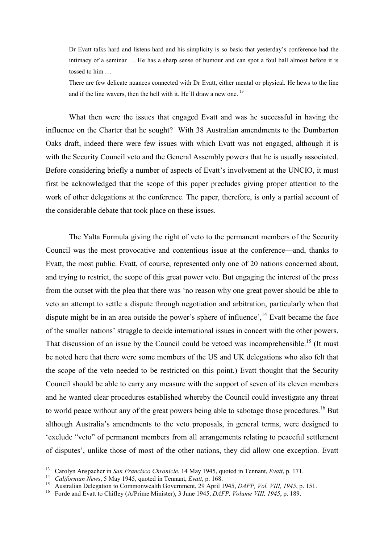Dr Evatt talks hard and listens hard and his simplicity is so basic that yesterday's conference had the intimacy of a seminar … He has a sharp sense of humour and can spot a foul ball almost before it is tossed to him …

There are few delicate nuances connected with Dr Evatt, either mental or physical. He hews to the line and if the line wavers, then the hell with it. He'll draw a new one.<sup>13</sup>

What then were the issues that engaged Evatt and was he successful in having the influence on the Charter that he sought? With 38 Australian amendments to the Dumbarton Oaks draft, indeed there were few issues with which Evatt was not engaged, although it is with the Security Council veto and the General Assembly powers that he is usually associated. Before considering briefly a number of aspects of Evatt's involvement at the UNCIO, it must first be acknowledged that the scope of this paper precludes giving proper attention to the work of other delegations at the conference. The paper, therefore, is only a partial account of the considerable debate that took place on these issues.

The Yalta Formula giving the right of veto to the permanent members of the Security Council was the most provocative and contentious issue at the conference—and, thanks to Evatt, the most public. Evatt, of course, represented only one of 20 nations concerned about, and trying to restrict, the scope of this great power veto. But engaging the interest of the press from the outset with the plea that there was 'no reason why one great power should be able to veto an attempt to settle a dispute through negotiation and arbitration, particularly when that dispute might be in an area outside the power's sphere of influence',  $^{14}$  Evatt became the face of the smaller nations' struggle to decide international issues in concert with the other powers. That discussion of an issue by the Council could be vetoed was incomprehensible.<sup>15</sup> (It must be noted here that there were some members of the US and UK delegations who also felt that the scope of the veto needed to be restricted on this point.) Evatt thought that the Security Council should be able to carry any measure with the support of seven of its eleven members and he wanted clear procedures established whereby the Council could investigate any threat to world peace without any of the great powers being able to sabotage those procedures.<sup>16</sup> But although Australia's amendments to the veto proposals, in general terms, were designed to 'exclude "veto" of permanent members from all arrangements relating to peaceful settlement of disputes', unlike those of most of the other nations, they did allow one exception. Evatt

<sup>&</sup>lt;sup>13</sup> Carolyn Anspacher in San Francisco Chronicle, 14 May 1945, quoted in Tennant, Evatt, p. 171.

<sup>&</sup>lt;sup>14</sup> Californian News, 5 May 1945, quoted in Tennant, Evatt, p. 168.

<sup>&</sup>lt;sup>15</sup> Australian Delegation to Commonwealth Government, 29 April 1945, *DAFP, Vol. VIII, 1945*, p. 151.

<sup>&</sup>lt;sup>16</sup> Forde and Evatt to Chifley (A/Prime Minister), 3 June 1945, *DAFP, Volume VIII, 1945*, p. 189.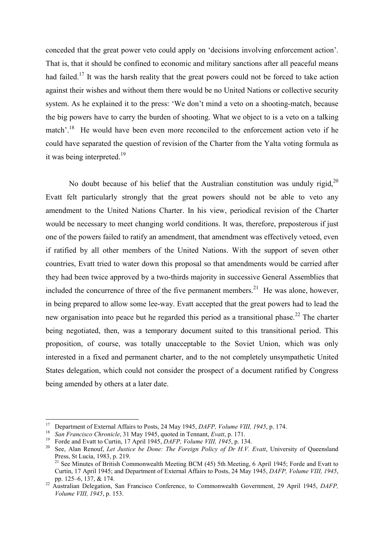conceded that the great power veto could apply on 'decisions involving enforcement action'. That is, that it should be confined to economic and military sanctions after all peaceful means had failed.<sup>17</sup> It was the harsh reality that the great powers could not be forced to take action against their wishes and without them there would be no United Nations or collective security system. As he explained it to the press: 'We don't mind a veto on a shooting-match, because the big powers have to carry the burden of shooting. What we object to is a veto on a talking match'.<sup>18</sup> He would have been even more reconciled to the enforcement action veto if he could have separated the question of revision of the Charter from the Yalta voting formula as it was being interpreted.<sup>19</sup>

No doubt because of his belief that the Australian constitution was unduly rigid. $^{20}$ Evatt felt particularly strongly that the great powers should not be able to veto any amendment to the United Nations Charter. In his view, periodical revision of the Charter would be necessary to meet changing world conditions. It was, therefore, preposterous if just one of the powers failed to ratify an amendment, that amendment was effectively vetoed, even if ratified by all other members of the United Nations. With the support of seven other countries, Evatt tried to water down this proposal so that amendments would be carried after they had been twice approved by a two-thirds majority in successive General Assemblies that included the concurrence of three of the five permanent members.<sup>21</sup> He was alone, however, in being prepared to allow some lee-way. Evatt accepted that the great powers had to lead the new organisation into peace but he regarded this period as a transitional phase.<sup>22</sup> The charter being negotiated, then, was a temporary document suited to this transitional period. This proposition, of course, was totally unacceptable to the Soviet Union, which was only interested in a fixed and permanent charter, and to the not completely unsympathetic United States delegation, which could not consider the prospect of a document ratified by Congress being amended by others at a later date.

<sup>&</sup>lt;sup>17</sup> Department of External Affairs to Posts, 24 May 1945, *DAFP*, *Volume VIII*, 1945, p. 174.

<sup>&</sup>lt;sup>18</sup> San Francisco Chronicle, 31 May 1945, quoted in Tennant, Evatt, p. 171.

<sup>&</sup>lt;sup>19</sup> Forde and Evatt to Curtin, 17 April 1945, *DAFP*, *Volume VIII*, 1945, p. 134.<br><sup>20</sup> See Alan Benout, Let Justice be Done: The Foreign Policy of Dr HV.

See, Alan Renouf, Let Justice be Done: The Foreign Policy of Dr H.V. Evatt, University of Oueensland Press, St Lucia, 1983, p. 219. <sup>21</sup> See Minutes of British Commonwealth Meeting BCM (45) 5th Meeting, 6 April 1945; Forde and Evatt to

Curtin, 17 April 1945; and Department of External Affairs to Posts, 24 May 1945, DAFP, Volume VIII, 1945, pp. 125–6, 137, & 174.

<sup>&</sup>lt;sup>22</sup> Australian Delegation, San Francisco Conference, to Commonwealth Government, 29 April 1945, *DAFP*, Volume VIII, 1945, p. 153.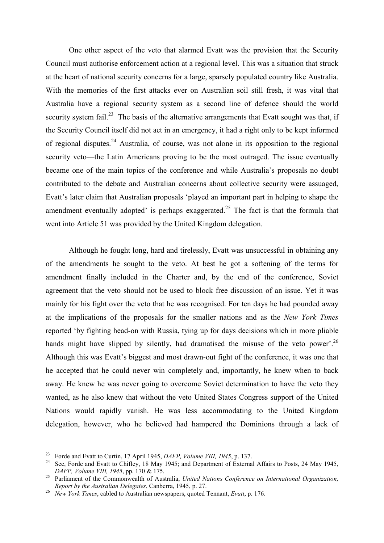One other aspect of the veto that alarmed Evatt was the provision that the Security Council must authorise enforcement action at a regional level. This was a situation that struck at the heart of national security concerns for a large, sparsely populated country like Australia. With the memories of the first attacks ever on Australian soil still fresh, it was vital that Australia have a regional security system as a second line of defence should the world security system fail.<sup>23</sup> The basis of the alternative arrangements that Evatt sought was that, if the Security Council itself did not act in an emergency, it had a right only to be kept informed of regional disputes.<sup>24</sup> Australia, of course, was not alone in its opposition to the regional security veto—the Latin Americans proving to be the most outraged. The issue eventually became one of the main topics of the conference and while Australia's proposals no doubt contributed to the debate and Australian concerns about collective security were assuaged, Evatt's later claim that Australian proposals 'played an important part in helping to shape the amendment eventually adopted' is perhaps exaggerated.<sup>25</sup> The fact is that the formula that went into Article 51 was provided by the United Kingdom delegation.

Although he fought long, hard and tirelessly, Evatt was unsuccessful in obtaining any of the amendments he sought to the veto. At best he got a softening of the terms for amendment finally included in the Charter and, by the end of the conference, Soviet agreement that the veto should not be used to block free discussion of an issue. Yet it was mainly for his fight over the veto that he was recognised. For ten days he had pounded away at the implications of the proposals for the smaller nations and as the New York Times reported 'by fighting head-on with Russia, tying up for days decisions which in more pliable hands might have slipped by silently, had dramatised the misuse of the veto power'.<sup>26</sup> Although this was Evatt's biggest and most drawn-out fight of the conference, it was one that he accepted that he could never win completely and, importantly, he knew when to back away. He knew he was never going to overcome Soviet determination to have the veto they wanted, as he also knew that without the veto United States Congress support of the United Nations would rapidly vanish. He was less accommodating to the United Kingdom delegation, however, who he believed had hampered the Dominions through a lack of

<sup>&</sup>lt;sup>23</sup> Forde and Evatt to Curtin, 17 April 1945, *DAFP*, *Volume VIII*, 1945, p. 137.

<sup>&</sup>lt;sup>24</sup> See, Forde and Evatt to Chifley, 18 May 1945; and Department of External Affairs to Posts, 24 May 1945, DAFP, Volume VIII, 1945, pp. 170 & 175.

 $25$  Parliament of the Commonwealth of Australia, United Nations Conference on International Organization, Report by the Australian Delegates, Canberra, 1945, p. 27.

<sup>26</sup> New York Times, cabled to Australian newspapers, quoted Tennant, Evatt, p. 176.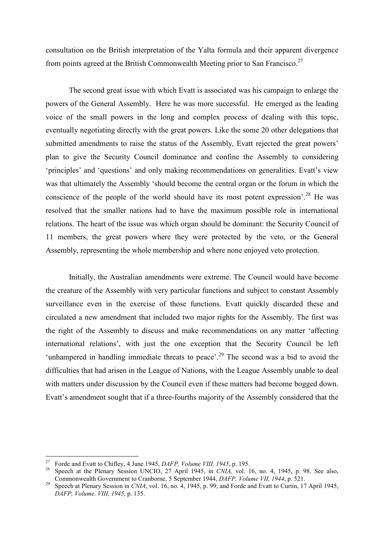consultation on the British interpretation of the Yalta formula and their apparent divergence from points agreed at the British Commonwealth Meeting prior to San Francisco.<sup>27</sup>

The second great issue with which Evatt is associated was his campaign to enlarge the powers of the General Assembly. Here he was more successful. He emerged as the leading voice of the small powers in the long and complex process of dealing with this topic, eventually negotiating directly with the great powers. Like the some 20 other delegations that submitted amendments to raise the status of the Assembly, Evatt rejected the great powers' plan to give the Security Council dominance and confine the Assembly to considering 'principles' and 'questions' and only making recommendations on generalities. Evatt's view was that ultimately the Assembly 'should become the central organ or the forum in which the conscience of the people of the world should have its most potent expression'.<sup>28</sup> He was resolved that the smaller nations had to have the maximum possible role in international relations. The heart of the issue was which organ should be dominant: the Security Council of 11 members, the great powers where they were protected by the veto, or the General Assembly, representing the whole membership and where none enjoyed veto protection.

Initially, the Australian amendments were extreme. The Council would have become the creature of the Assembly with very particular functions and subject to constant Assembly surveillance even in the exercise of those functions. Evatt quickly discarded these and circulated a new amendment that included two major rights for the Assembly. The first was the right of the Assembly to discuss and make recommendations on any matter 'affecting international relations', with just the one exception that the Security Council be left 'unhampered in handling immediate threats to peace'.<sup>29</sup> The second was a bid to avoid the difficulties that had arisen in the League of Nations, with the League Assembly unable to deal with matters under discussion by the Council even if these matters had become bogged down. Evatt's amendment sought that if a three-fourths majority of the Assembly considered that the

<sup>27</sup> <sup>27</sup> Forde and Evatt to Chifley, 4 June 1945, *DAFP, Volume VIII, 1945*, p. 195.<br><sup>28</sup> Speech at the Blopen: Secsion UNCIO, 27 April 1945, in *CNIA*, yol. 1

Speech at the Plenary Session UNCIO, 27 April 1945, in CNIA, vol. 16, no. 4, 1945, p. 98. See also, Commonwealth Government to Cranborne, 5 September 1944, DAFP, Volume VII, 1944, p. 521.

<sup>&</sup>lt;sup>29</sup> Speech at Plenary Session in *CNIA*, vol. 16, no. 4, 1945, p. 99; and Forde and Evatt to Curtin, 17 April 1945, DAFP, Volume. VIII, 1945, p. 135.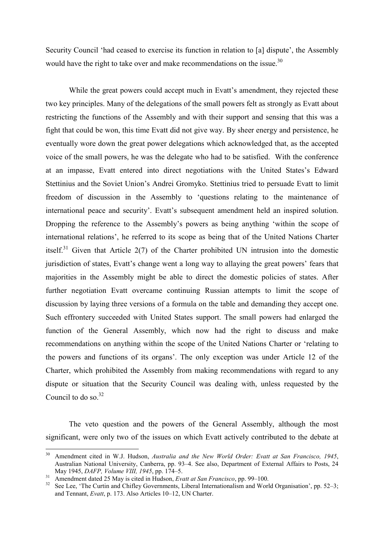Security Council 'had ceased to exercise its function in relation to [a] dispute', the Assembly would have the right to take over and make recommendations on the issue. $30$ 

While the great powers could accept much in Evatt's amendment, they rejected these two key principles. Many of the delegations of the small powers felt as strongly as Evatt about restricting the functions of the Assembly and with their support and sensing that this was a fight that could be won, this time Evatt did not give way. By sheer energy and persistence, he eventually wore down the great power delegations which acknowledged that, as the accepted voice of the small powers, he was the delegate who had to be satisfied. With the conference at an impasse, Evatt entered into direct negotiations with the United States's Edward Stettinius and the Soviet Union's Andrei Gromyko. Stettinius tried to persuade Evatt to limit freedom of discussion in the Assembly to 'questions relating to the maintenance of international peace and security'. Evatt's subsequent amendment held an inspired solution. Dropping the reference to the Assembly's powers as being anything 'within the scope of international relations', he referred to its scope as being that of the United Nations Charter itself.<sup>31</sup> Given that Article  $2(7)$  of the Charter prohibited UN intrusion into the domestic jurisdiction of states, Evatt's change went a long way to allaying the great powers' fears that majorities in the Assembly might be able to direct the domestic policies of states. After further negotiation Evatt overcame continuing Russian attempts to limit the scope of discussion by laying three versions of a formula on the table and demanding they accept one. Such effrontery succeeded with United States support. The small powers had enlarged the function of the General Assembly, which now had the right to discuss and make recommendations on anything within the scope of the United Nations Charter or 'relating to the powers and functions of its organs'. The only exception was under Article 12 of the Charter, which prohibited the Assembly from making recommendations with regard to any dispute or situation that the Security Council was dealing with, unless requested by the Council to do so. $32$ 

The veto question and the powers of the General Assembly, although the most significant, were only two of the issues on which Evatt actively contributed to the debate at

 $30<sup>°</sup>$ Amendment cited in W.J. Hudson, Australia and the New World Order: Evatt at San Francisco, 1945, Australian National University, Canberra, pp. 93–4. See also, Department of External Affairs to Posts, 24 May 1945, DAFP, Volume VIII, 1945, pp. 174–5.

 $\frac{31}{32}$  Amendment dated 25 May is cited in Hudson, *Evatt at San Francisco*, pp. 99–100.

See Lee, 'The Curtin and Chifley Governments, Liberal Internationalism and World Organisation', pp. 52–3; and Tennant, Evatt, p. 173. Also Articles 10-12, UN Charter.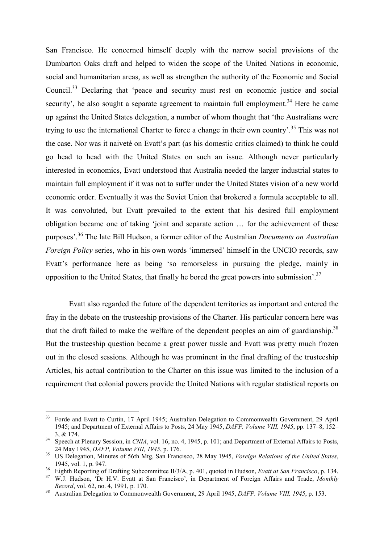San Francisco. He concerned himself deeply with the narrow social provisions of the Dumbarton Oaks draft and helped to widen the scope of the United Nations in economic, social and humanitarian areas, as well as strengthen the authority of the Economic and Social Council.<sup>33</sup> Declaring that 'peace and security must rest on economic justice and social security', he also sought a separate agreement to maintain full employment.<sup>34</sup> Here he came up against the United States delegation, a number of whom thought that 'the Australians were trying to use the international Charter to force a change in their own country'.<sup>35</sup> This was not the case. Nor was it naiveté on Evatt's part (as his domestic critics claimed) to think he could go head to head with the United States on such an issue. Although never particularly interested in economics, Evatt understood that Australia needed the larger industrial states to maintain full employment if it was not to suffer under the United States vision of a new world economic order. Eventually it was the Soviet Union that brokered a formula acceptable to all. It was convoluted, but Evatt prevailed to the extent that his desired full employment obligation became one of taking 'joint and separate action … for the achievement of these purposes'.<sup>36</sup> The late Bill Hudson, a former editor of the Australian *Documents on Australian* Foreign Policy series, who in his own words 'immersed' himself in the UNCIO records, saw Evatt's performance here as being 'so remorseless in pursuing the pledge, mainly in opposition to the United States, that finally he bored the great powers into submission<sup>'.37</sup>

Evatt also regarded the future of the dependent territories as important and entered the fray in the debate on the trusteeship provisions of the Charter. His particular concern here was that the draft failed to make the welfare of the dependent peoples an aim of guardianship.<sup>38</sup> But the trusteeship question became a great power tussle and Evatt was pretty much frozen out in the closed sessions. Although he was prominent in the final drafting of the trusteeship Articles, his actual contribution to the Charter on this issue was limited to the inclusion of a requirement that colonial powers provide the United Nations with regular statistical reports on

 $\overline{a}$ <sup>33</sup> Forde and Evatt to Curtin, 17 April 1945; Australian Delegation to Commonwealth Government, 29 April 1945; and Department of External Affairs to Posts, 24 May 1945, DAFP, Volume VIII, 1945, pp. 137–8, 152– 3, & 174.

<sup>&</sup>lt;sup>34</sup> Speech at Plenary Session, in CNIA, vol. 16, no. 4, 1945, p. 101; and Department of External Affairs to Posts, 24 May 1945, DAFP, Volume VIII, 1945, p. 176.

<sup>&</sup>lt;sup>35</sup> US Delegation, Minutes of 56th Mtg, San Francisco, 28 May 1945, *Foreign Relations of the United States*, 1945, vol. 1, p. 947.

<sup>&</sup>lt;sup>36</sup> Eighth Reporting of Drafting Subcommittee II/3/A, p. 401, quoted in Hudson, *Evatt at San Francisco*, p. 134.<br><sup>37</sup> W.I. Hudson, 'Dr. H.V. Evatt at San Francisco', in Department of Ecroica, Affairs and Trade, Martha

W.J. Hudson, 'Dr H.V. Evatt at San Francisco', in Department of Foreign Affairs and Trade, Monthly Record, vol. 62, no. 4, 1991, p. 170.

<sup>&</sup>lt;sup>38</sup> Australian Delegation to Commonwealth Government, 29 April 1945, *DAFP, Volume VIII, 1945*, p. 153.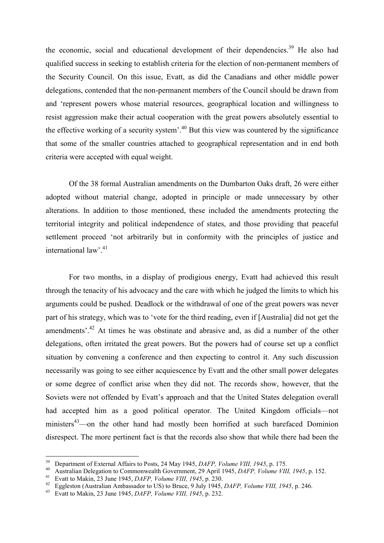the economic, social and educational development of their dependencies.<sup>39</sup> He also had qualified success in seeking to establish criteria for the election of non-permanent members of the Security Council. On this issue, Evatt, as did the Canadians and other middle power delegations, contended that the non-permanent members of the Council should be drawn from and 'represent powers whose material resources, geographical location and willingness to resist aggression make their actual cooperation with the great powers absolutely essential to the effective working of a security system'.<sup>40</sup> But this view was countered by the significance that some of the smaller countries attached to geographical representation and in end both criteria were accepted with equal weight.

Of the 38 formal Australian amendments on the Dumbarton Oaks draft, 26 were either adopted without material change, adopted in principle or made unnecessary by other alterations. In addition to those mentioned, these included the amendments protecting the territorial integrity and political independence of states, and those providing that peaceful settlement proceed 'not arbitrarily but in conformity with the principles of justice and international law'.<sup>41</sup>

For two months, in a display of prodigious energy, Evatt had achieved this result through the tenacity of his advocacy and the care with which he judged the limits to which his arguments could be pushed. Deadlock or the withdrawal of one of the great powers was never part of his strategy, which was to 'vote for the third reading, even if [Australia] did not get the amendments<sup>', 42</sup> At times he was obstinate and abrasive and, as did a number of the other delegations, often irritated the great powers. But the powers had of course set up a conflict situation by convening a conference and then expecting to control it. Any such discussion necessarily was going to see either acquiescence by Evatt and the other small power delegates or some degree of conflict arise when they did not. The records show, however, that the Soviets were not offended by Evatt's approach and that the United States delegation overall had accepted him as a good political operator. The United Kingdom officials—not ministers<sup>43</sup>—on the other hand had mostly been horrified at such barefaced Dominion disrespect. The more pertinent fact is that the records also show that while there had been the

<sup>39</sup> <sup>39</sup> Department of External Affairs to Posts, 24 May 1945, *DAFP*, *Volume VIII*, 1945, p. 175.

<sup>&</sup>lt;sup>40</sup> Australian Delegation to Commonwealth Government, 29 April 1945, *DAFP, Volume VIII, 1945*, p. 152.

Evatt to Makin, 23 June 1945, *DAFP*, *Volume VIII*, 1945, p. 230.

<sup>&</sup>lt;sup>42</sup> Eggleston (Australian Ambassador to US) to Bruce, 9 July 1945, *DAFP, Volume VIII, 1945*, p. 246.<br><sup>43</sup> Evatt to Makin 23 June 1945, *DAFP, Volume VIII, 1945*, p. 232

Evatt to Makin, 23 June 1945, *DAFP*, *Volume VIII*, 1945, p. 232.